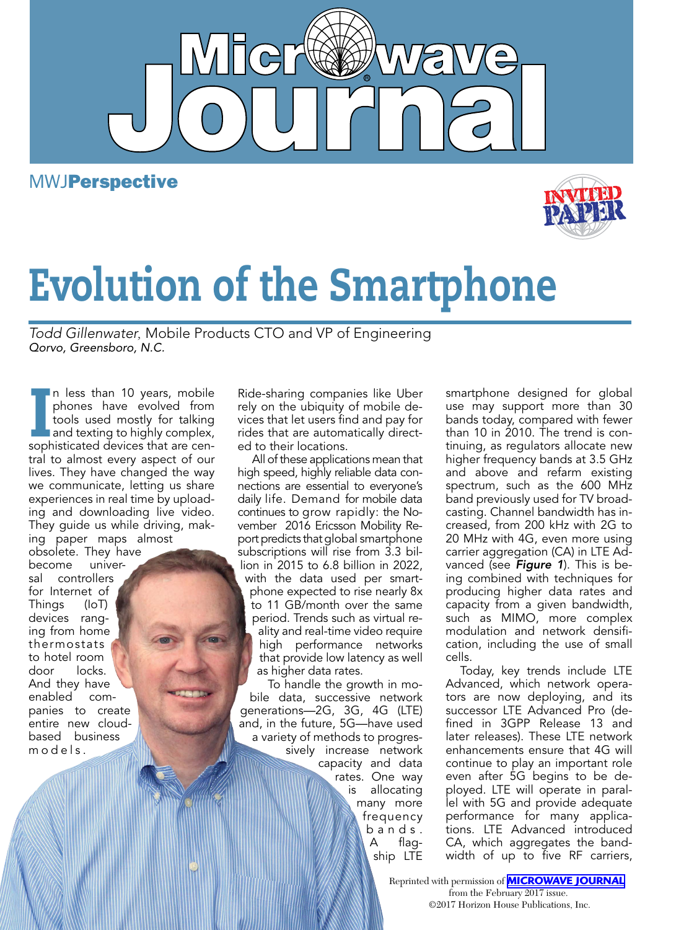

 $\overline{\mathsf{d}}$ 

# Evolution of the Smartphone

*Todd Gillenwater,* Mobile Products CTO and VP of Engineering *Qorvo, Greensboro, N.C.*

In less than 10 years, mobile<br>phones have evolved from<br>tools used mostly for talking<br>and texting to highly complex,<br>sophisticated devices that are cenn less than 10 years, mobile phones have evolved from tools used mostly for talking and texting to highly complex, tral to almost every aspect of our lives. They have changed the way we communicate, letting us share experiences in real time by uploading and downloading live video. They guide us while driving, making paper maps almost

obsolete. They have become universal controllers for Internet of Things (IoT) devices ranging from home thermostats to hotel room door locks. And they have enabled companies to create entire new cloudbased business m o d e l s .

Ride-sharing companies like Uber rely on the ubiquity of mobile devices that let users find and pay for rides that are automatically directed to their locations.

All of these applications mean that high speed, highly reliable data connections are essential to everyone's daily life. Demand for mobile data continues to grow rapidly: the November 2016 Ericsson Mobility Report predicts that global smartphone subscriptions will rise from 3.3 billion in 2015 to 6.8 billion in 2022, with the data used per smartphone expected to rise nearly 8x to 11 GB/month over the same period. Trends such as virtual reality and real-time video require high performance networks that provide low latency as well as higher data rates.

To handle the growth in mobile data, successive network generations—2G, 3G, 4G (LTE) and, in the future, 5G—have used a variety of methods to progressively increase network capacity and data rates. One way is allocating many more frequency b a n d s . A flagship LTE

smartphone designed for global use may support more than 30 bands today, compared with fewer than 10 in 2010. The trend is continuing, as regulators allocate new higher frequency bands at 3.5 GHz and above and refarm existing spectrum, such as the 600 MHz band previously used for TV broadcasting. Channel bandwidth has increased, from 200 kHz with 2G to 20 MHz with 4G, even more using carrier aggregation (CA) in LTE Advanced (see *Figure 1*). This is being combined with techniques for producing higher data rates and capacity from a given bandwidth, such as MIMO, more complex modulation and network densification, including the use of small cells.

Today, key trends include LTE Advanced, which network operators are now deploying, and its successor LTE Advanced Pro (defined in 3GPP Release 13 and later releases). These LTE network enhancements ensure that 4G will continue to play an important role even after 5G begins to be deployed. LTE will operate in parallel with 5G and provide adequate performance for many applications. LTE Advanced introduced CA, which aggregates the bandwidth of up to five RF carriers,

Reprinted with permission of **[MICROWAVE JOURNAL](http://mwjournal.com)** from the February 2017 issue. ©2017 Horizon House Publications, Inc.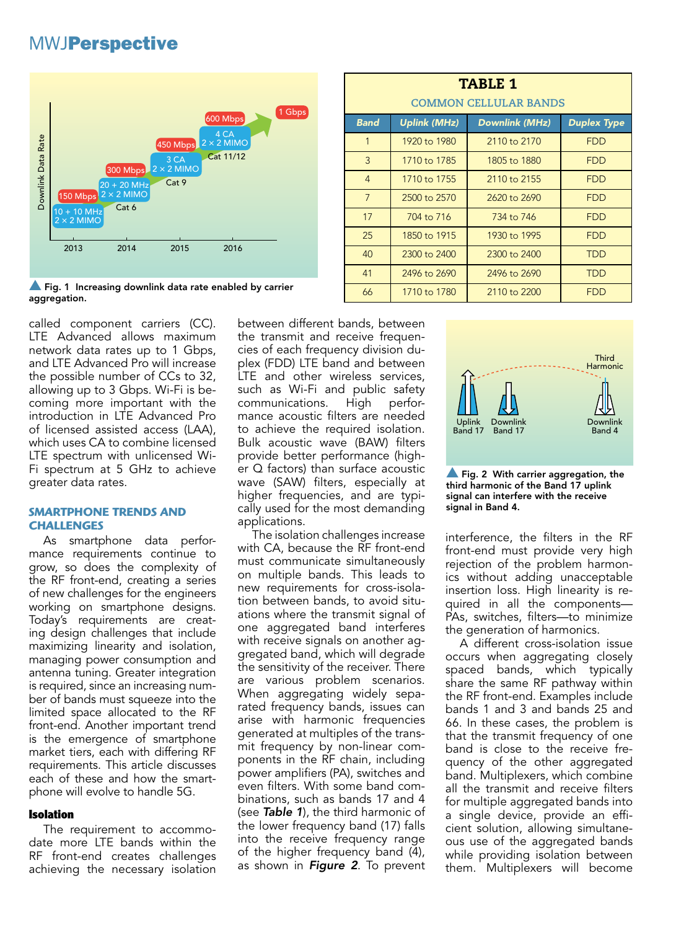

 $\blacktriangle$  Fig. 1 Increasing downlink data rate enabled by carrier aggregation.

called component carriers (CC). LTE Advanced allows maximum network data rates up to 1 Gbps, and LTE Advanced Pro will increase the possible number of CCs to 32, allowing up to 3 Gbps. Wi-Fi is becoming more important with the introduction in LTE Advanced Pro of licensed assisted access (LAA), which uses CA to combine licensed LTE spectrum with unlicensed Wi-Fi spectrum at 5 GHz to achieve greater data rates.

#### **SMARTPHONE TRENDS AND CHALLENGES**

As smartphone data performance requirements continue to grow, so does the complexity of the RF front-end, creating a series of new challenges for the engineers working on smartphone designs. Today's requirements are creating design challenges that include maximizing linearity and isolation, managing power consumption and antenna tuning. Greater integration is required, since an increasing number of bands must squeeze into the limited space allocated to the RF front-end. Another important trend is the emergence of smartphone market tiers, each with differing RF requirements. This article discusses each of these and how the smartphone will evolve to handle 5G.

### Isolation

The requirement to accommodate more LTE bands within the RF front-end creates challenges achieving the necessary isolation between different bands, between the transmit and receive frequencies of each frequency division duplex (FDD) LTE band and between LTE and other wireless services, such as Wi-Fi and public safety communications. High performance acoustic filters are needed to achieve the required isolation. Bulk acoustic wave (BAW) filters provide better performance (higher Q factors) than surface acoustic wave (SAW) filters, especially at higher frequencies, and are typically used for the most demanding applications.

The isolation challenges increase with CA, because the RF front-end must communicate simultaneously on multiple bands. This leads to new requirements for cross-isolation between bands, to avoid situations where the transmit signal of one aggregated band interferes with receive signals on another aggregated band, which will degrade the sensitivity of the receiver. There are various problem scenarios. When aggregating widely separated frequency bands, issues can arise with harmonic frequencies generated at multiples of the transmit frequency by non-linear components in the RF chain, including power amplifiers (PA), switches and even filters. With some band combinations, such as bands 17 and 4 (see *Table 1*), the third harmonic of the lower frequency band (17) falls into the receive frequency range of the higher frequency band (4), as shown in *Figure 2*. To prevent

| <b>TABLE 1</b><br><b>COMMON CELLULAR BANDS</b> |                     |                       |                    |
|------------------------------------------------|---------------------|-----------------------|--------------------|
| <b>Band</b>                                    | <b>Uplink (MHz)</b> | <b>Downlink (MHz)</b> | <b>Duplex Type</b> |
| 1                                              | 1920 to 1980        | 2110 to 2170          | <b>FDD</b>         |
| 3                                              | 1710 to 1785        | 1805 to 1880          | <b>FDD</b>         |
| $\overline{4}$                                 | 1710 to 1755        | 2110 to 2155          | <b>FDD</b>         |
| $7\overline{ }$                                | 2500 to 2570        | 2620 to 2690          | <b>FDD</b>         |
| 17                                             | 704 to 716          | 734 to 746            | <b>FDD</b>         |
| 25                                             | 1850 to 1915        | 1930 to 1995          | <b>FDD</b>         |
| 40                                             | 2300 to 2400        | 2300 to 2400          | <b>TDD</b>         |
| 41                                             | 2496 to 2690        | 2496 to 2690          | <b>TDD</b>         |
| 66                                             | 1710 to 1780        | 2110 to 2200          | <b>FDD</b>         |



 $\triangle$  Fig. 2 With carrier aggregation, the third harmonic of the Band 17 uplink signal can interfere with the receive signal in Band 4.

interference, the filters in the RF front-end must provide very high rejection of the problem harmonics without adding unacceptable insertion loss. High linearity is required in all the components— PAs, switches, filters—to minimize the generation of harmonics.

A different cross-isolation issue occurs when aggregating closely spaced bands, which typically share the same RF pathway within the RF front-end. Examples include bands 1 and 3 and bands 25 and 66. In these cases, the problem is that the transmit frequency of one band is close to the receive frequency of the other aggregated band. Multiplexers, which combine all the transmit and receive filters for multiple aggregated bands into a single device, provide an efficient solution, allowing simultaneous use of the aggregated bands while providing isolation between them. Multiplexers will become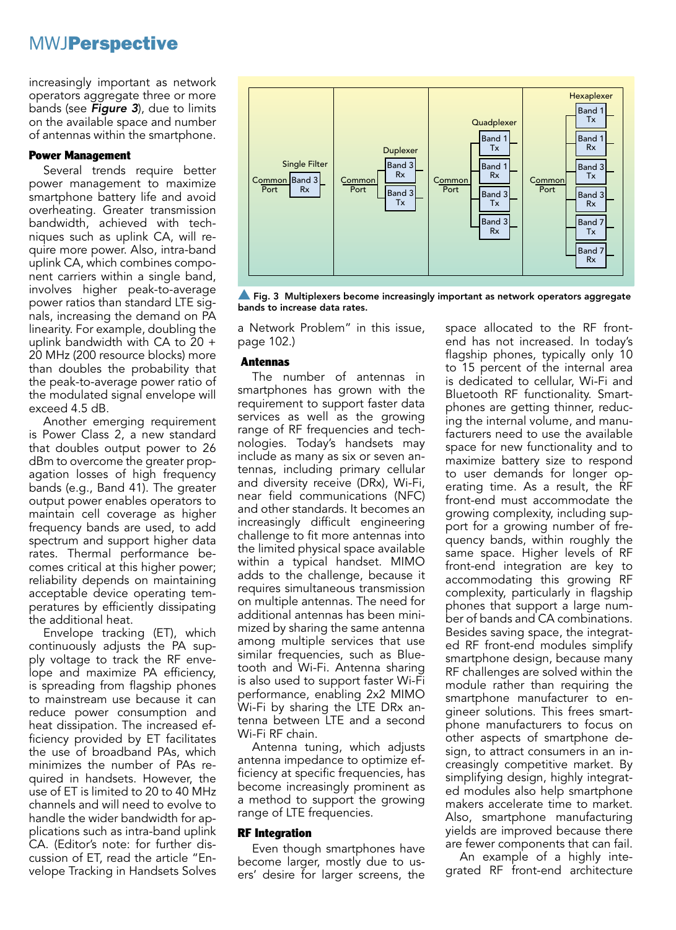increasingly important as network operators aggregate three or more bands (see *Figure 3*), due to limits on the available space and number of antennas within the smartphone.

#### Power Management

Several trends require better power management to maximize smartphone battery life and avoid overheating. Greater transmission bandwidth, achieved with techniques such as uplink CA, will require more power. Also, intra-band uplink CA, which combines component carriers within a single band, involves higher peak-to-average power ratios than standard LTE signals, increasing the demand on PA linearity. For example, doubling the uplink bandwidth with CA to 20 + 20 MHz (200 resource blocks) more than doubles the probability that the peak-to-average power ratio of the modulated signal envelope will exceed 4.5 dB.

Another emerging requirement is Power Class 2, a new standard that doubles output power to 26 dBm to overcome the greater propagation losses of high frequency bands (e.g., Band 41). The greater output power enables operators to maintain cell coverage as higher frequency bands are used, to add spectrum and support higher data rates. Thermal performance becomes critical at this higher power; reliability depends on maintaining acceptable device operating temperatures by efficiently dissipating the additional heat.

Envelope tracking (ET), which continuously adjusts the PA supply voltage to track the RF envelope and maximize PA efficiency, is spreading from flagship phones to mainstream use because it can reduce power consumption and heat dissipation. The increased efficiency provided by ET facilitates the use of broadband PAs, which minimizes the number of PAs required in handsets. However, the use of ET is limited to 20 to 40 MHz channels and will need to evolve to handle the wider bandwidth for applications such as intra-band uplink CA. (Editor's note: for further discussion of ET, read the article "Envelope Tracking in Handsets Solves



 $\blacktriangle$  Fig. 3 Multiplexers become increasingly important as network operators aggregate bands to increase data rates.

a Network Problem" in this issue, page 102.)

#### Antennas

The number of antennas in smartphones has grown with the requirement to support faster data services as well as the growing range of RF frequencies and technologies. Today's handsets may include as many as six or seven antennas, including primary cellular and diversity receive (DRx), Wi-Fi, near field communications (NFC) and other standards. It becomes an increasingly difficult engineering challenge to fit more antennas into the limited physical space available within a typical handset. MIMO adds to the challenge, because it requires simultaneous transmission on multiple antennas. The need for additional antennas has been minimized by sharing the same antenna among multiple services that use similar frequencies, such as Bluetooth and Wi-Fi. Antenna sharing is also used to support faster Wi-Fi performance, enabling 2x2 MIMO Wi-Fi by sharing the LTE DRx antenna between LTE and a second Wi-Fi RF chain.

Antenna tuning, which adjusts antenna impedance to optimize efficiency at specific frequencies, has become increasingly prominent as a method to support the growing range of LTE frequencies.

#### RF Integration

Even though smartphones have become larger, mostly due to users' desire for larger screens, the space allocated to the RF frontend has not increased. In today's flagship phones, typically only 10 to 15 percent of the internal area is dedicated to cellular, Wi-Fi and Bluetooth RF functionality. Smartphones are getting thinner, reducing the internal volume, and manufacturers need to use the available space for new functionality and to maximize battery size to respond to user demands for longer operating time. As a result, the RF front-end must accommodate the growing complexity, including support for a growing number of frequency bands, within roughly the same space. Higher levels of RF front-end integration are key to accommodating this growing RF complexity, particularly in flagship phones that support a large number of bands and CA combinations. Besides saving space, the integrated RF front-end modules simplify smartphone design, because many RF challenges are solved within the module rather than requiring the smartphone manufacturer to engineer solutions. This frees smartphone manufacturers to focus on other aspects of smartphone design, to attract consumers in an increasingly competitive market. By simplifying design, highly integrated modules also help smartphone makers accelerate time to market. Also, smartphone manufacturing yields are improved because there are fewer components that can fail.

An example of a highly integrated RF front-end architecture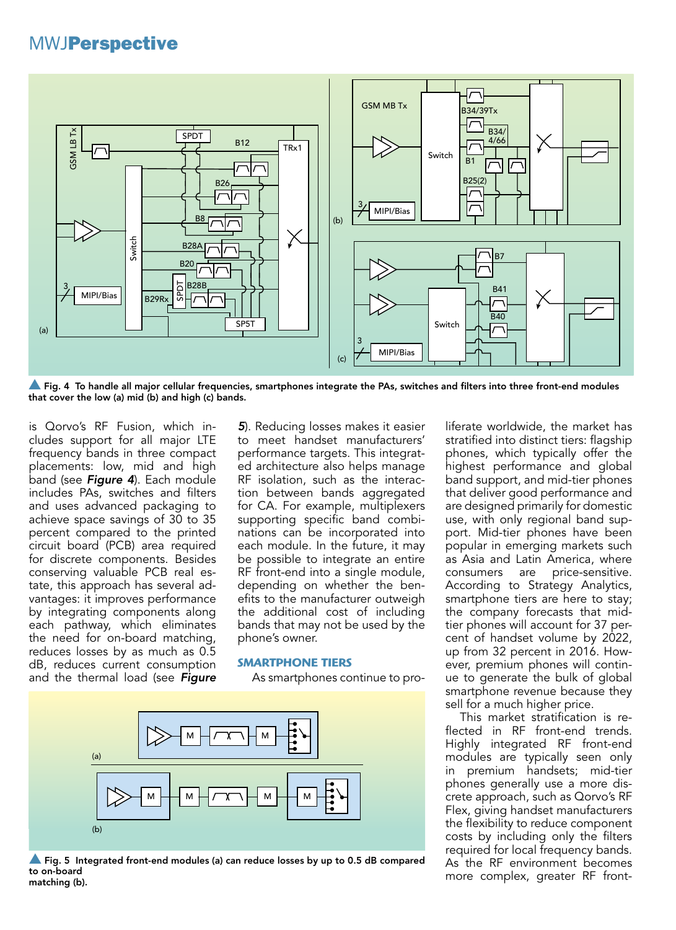

Fig. 4 To handle all major cellular frequencies, smartphones integrate the PAs, switches and filters into three front-end modules that cover the low (a) mid (b) and high (c) bands.

is Qorvo's RF Fusion, which includes support for all major LTE frequency bands in three compact placements: low, mid and high band (see *Figure 4*). Each module includes PAs, switches and filters and uses advanced packaging to achieve space savings of 30 to 35 percent compared to the printed circuit board (PCB) area required for discrete components. Besides conserving valuable PCB real estate, this approach has several advantages: it improves performance by integrating components along each pathway, which eliminates the need for on-board matching, reduces losses by as much as 0.5 dB, reduces current consumption and the thermal load (see *Figure*  *5*). Reducing losses makes it easier to meet handset manufacturers' performance targets. This integrated architecture also helps manage RF isolation, such as the interaction between bands aggregated for CA. For example, multiplexers supporting specific band combinations can be incorporated into each module. In the future, it may be possible to integrate an entire RF front-end into a single module, depending on whether the benefits to the manufacturer outweigh the additional cost of including bands that may not be used by the phone's owner.

#### **SMARTPHONE TIERS**

As smartphones continue to pro-



**Solut** Fig. 5 Integrated front-end modules (a) can reduce losses by up to 0.5 dB compared to on-board matching (b).

liferate worldwide, the market has stratified into distinct tiers: flagship phones, which typically offer the highest performance and global band support, and mid-tier phones that deliver good performance and are designed primarily for domestic use, with only regional band support. Mid-tier phones have been popular in emerging markets such as Asia and Latin America, where consumers are price-sensitive. According to Strategy Analytics, smartphone tiers are here to stay; the company forecasts that midtier phones will account for 37 percent of handset volume by 2022, up from 32 percent in 2016. However, premium phones will continue to generate the bulk of global smartphone revenue because they sell for a much higher price.

This market stratification is reflected in RF front-end trends. Highly integrated RF front-end modules are typically seen only in premium handsets; mid-tier phones generally use a more discrete approach, such as Qorvo's RF Flex, giving handset manufacturers the flexibility to reduce component costs by including only the filters required for local frequency bands. As the RF environment becomes more complex, greater RF front-